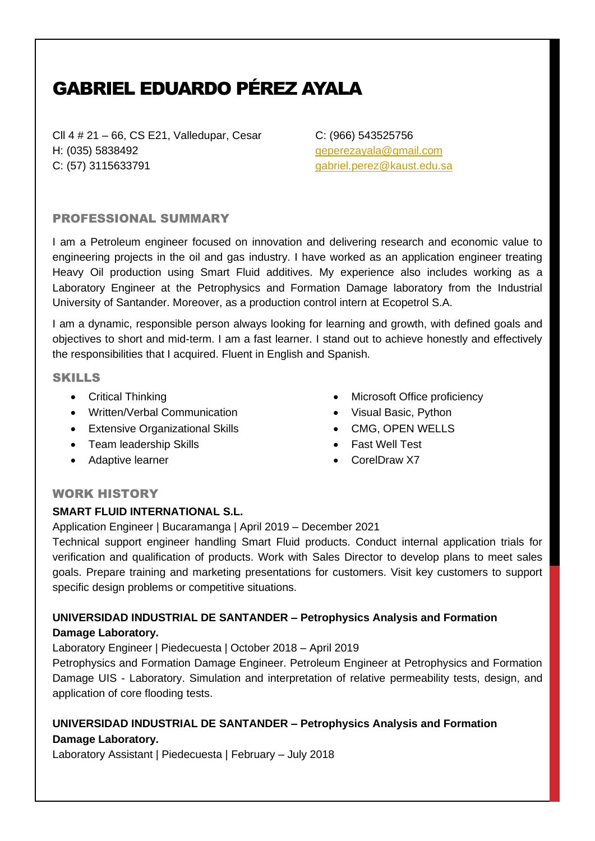# GABRIEL EDUARDO PÉREZ AYALA

Cll 4 # 21 – 66, CS E21, Valledupar, Cesar H: (035) 5838492 C: (57) 3115633791

C: (966) 543525756 [geperezayala@gmail.com](mailto:geperezayala@gmail.com) [gabriel.perez@kaust.edu.sa](mailto:gabriel.perez@kaust.edu.sa)

# PROFESSIONAL SUMMARY

I am a Petroleum engineer focused on innovation and delivering research and economic value to engineering projects in the oil and gas industry. I have worked as an application engineer treating Heavy Oil production using Smart Fluid additives. My experience also includes working as a Laboratory Engineer at the Petrophysics and Formation Damage laboratory from the Industrial University of Santander. Moreover, as a production control intern at Ecopetrol S.A.

I am a dynamic, responsible person always looking for learning and growth, with defined goals and objectives to short and mid-term. I am a fast learner. I stand out to achieve honestly and effectively the responsibilities that I acquired. Fluent in English and Spanish.

## SKILLS

- Critical Thinking
- Written/Verbal Communication
- Extensive Organizational Skills
- Team leadership Skills
- Adaptive learner
- Microsoft Office proficiency
- Visual Basic, Python
- CMG, OPEN WELLS
- Fast Well Test
- CorelDraw X7

#### WORK HISTORY

# **SMART FLUID INTERNATIONAL S.L.**

Application Engineer | Bucaramanga | April 2019 – December 2021

Technical support engineer handling Smart Fluid products. Conduct internal application trials for verification and qualification of products. Work with Sales Director to develop plans to meet sales goals. Prepare training and marketing presentations for customers. Visit key customers to support specific design problems or competitive situations.

# **UNIVERSIDAD INDUSTRIAL DE SANTANDER – Petrophysics Analysis and Formation Damage Laboratory.**

Laboratory Engineer | Piedecuesta | October 2018 – April 2019

Petrophysics and Formation Damage Engineer. Petroleum Engineer at Petrophysics and Formation Damage UIS - Laboratory. Simulation and interpretation of relative permeability tests, design, and application of core flooding tests.

# **UNIVERSIDAD INDUSTRIAL DE SANTANDER – Petrophysics Analysis and Formation Damage Laboratory.**

Laboratory Assistant | Piedecuesta | February – July 2018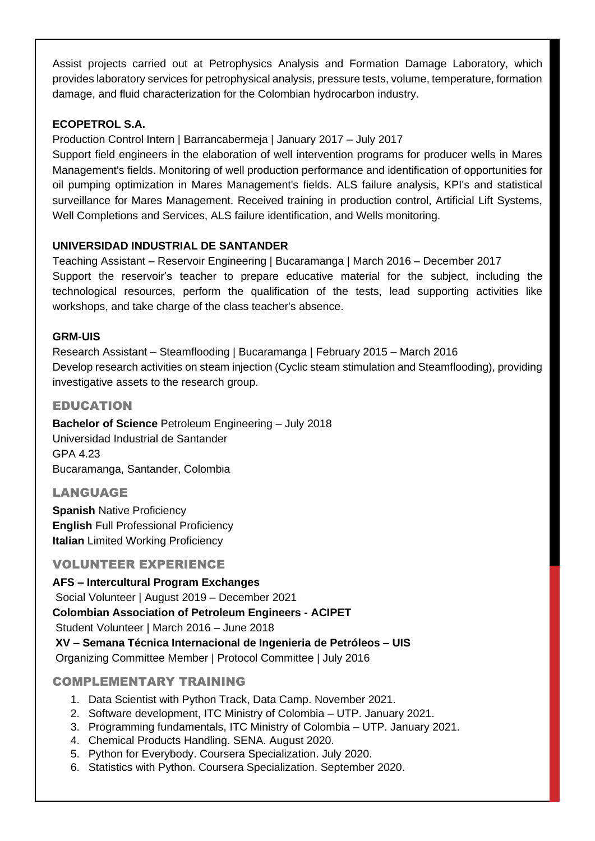Assist projects carried out at Petrophysics Analysis and Formation Damage Laboratory, which provides laboratory services for petrophysical analysis, pressure tests, volume, temperature, formation damage, and fluid characterization for the Colombian hydrocarbon industry.

# **ECOPETROL S.A.**

Production Control Intern | Barrancabermeja | January 2017 – July 2017

Support field engineers in the elaboration of well intervention programs for producer wells in Mares Management's fields. Monitoring of well production performance and identification of opportunities for oil pumping optimization in Mares Management's fields. ALS failure analysis, KPI's and statistical surveillance for Mares Management. Received training in production control, Artificial Lift Systems, Well Completions and Services, ALS failure identification, and Wells monitoring.

# **UNIVERSIDAD INDUSTRIAL DE SANTANDER**

Teaching Assistant – Reservoir Engineering | Bucaramanga | March 2016 – December 2017 Support the reservoir's teacher to prepare educative material for the subject, including the technological resources, perform the qualification of the tests, lead supporting activities like workshops, and take charge of the class teacher's absence.

# **GRM-UIS**

Research Assistant – Steamflooding | Bucaramanga | February 2015 – March 2016 Develop research activities on steam injection (Cyclic steam stimulation and Steamflooding), providing investigative assets to the research group.

# EDUCATION

**Bachelor of Science** Petroleum Engineering – July 2018 Universidad Industrial de Santander GPA 4.23 Bucaramanga, Santander, Colombia

# LANGUAGE

**Spanish** Native Proficiency **English** Full Professional Proficiency **Italian** Limited Working Proficiency

# VOLUNTEER EXPERIENCE

**AFS – Intercultural Program Exchanges**  Social Volunteer | August 2019 – December 2021 **Colombian Association of Petroleum Engineers - ACIPET** Student Volunteer | March 2016 – June 2018 **XV – Semana Técnica Internacional de Ingenieria de Petróleos – UIS** Organizing Committee Member | Protocol Committee | July 2016

# COMPLEMENTARY TRAINING

- 1. Data Scientist with Python Track, Data Camp. November 2021.
- 2. Software development, ITC Ministry of Colombia UTP. January 2021.
- 3. Programming fundamentals, ITC Ministry of Colombia UTP. January 2021.
- 4. Chemical Products Handling. SENA. August 2020.
- 5. Python for Everybody. Coursera Specialization. July 2020.
- 6. Statistics with Python. Coursera Specialization. September 2020.